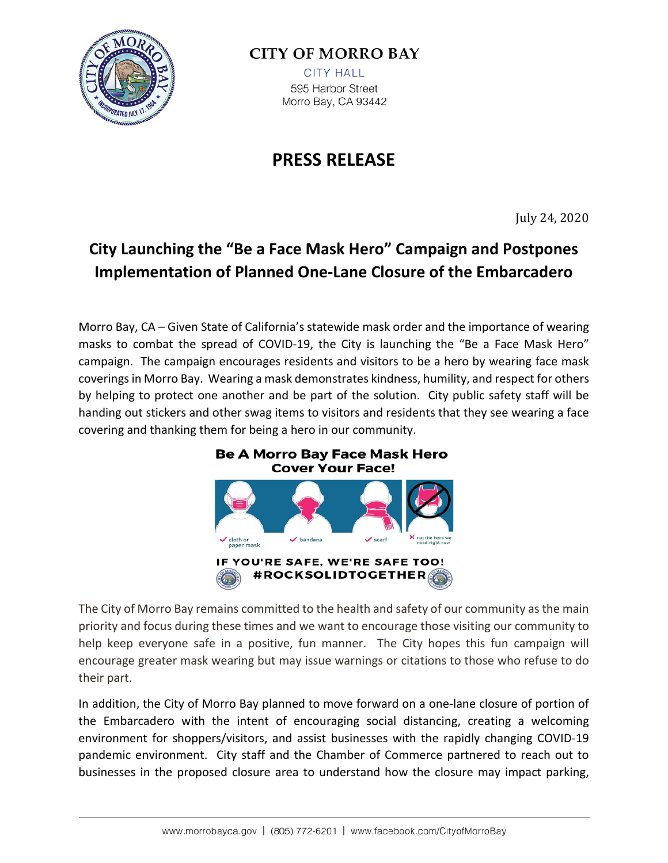

## **CITY OF MORRO BAY**

**CITY HALL** 595 Harbor Street Morro Bay, CA 93442

## **PRESS RELEASE**

July 24, 2020

## **City Launching the "Be a Face Mask Hero" Campaign and Postpones Implementation of Planned One-Lane Closure of the Embarcadero**

Morro Bay, CA – Given State of California's statewide mask order and the importance of wearing masks to combat the spread of COVID-19, the City is launching the "Be a Face Mask Hero" campaign. The campaign encourages residents and visitors to be a hero by wearing face mask coverings in Morro Bay. Wearing a mask demonstrates kindness, humility, and respect for others by helping to protect one another and be part of the solution. City public safety staff will be handing out stickers and other swag items to visitors and residents that they see wearing a face covering and thanking them for being a hero in our community.



The City of Morro Bay remains committed to the health and safety of our community as the main priority and focus during these times and we want to encourage those visiting our community to help keep everyone safe in a positive, fun manner. The City hopes this fun campaign will encourage greater mask wearing but may issue warnings or citations to those who refuse to do their part.

In addition, the City of Morro Bay planned to move forward on a one-lane closure of portion of the Embarcadero with the intent of encouraging social distancing, creating a welcoming environment for shoppers/visitors, and assist businesses with the rapidly changing COVID-19 pandemic environment. City staff and the Chamber of Commerce partnered to reach out to businesses in the proposed closure area to understand how the closure may impact parking,